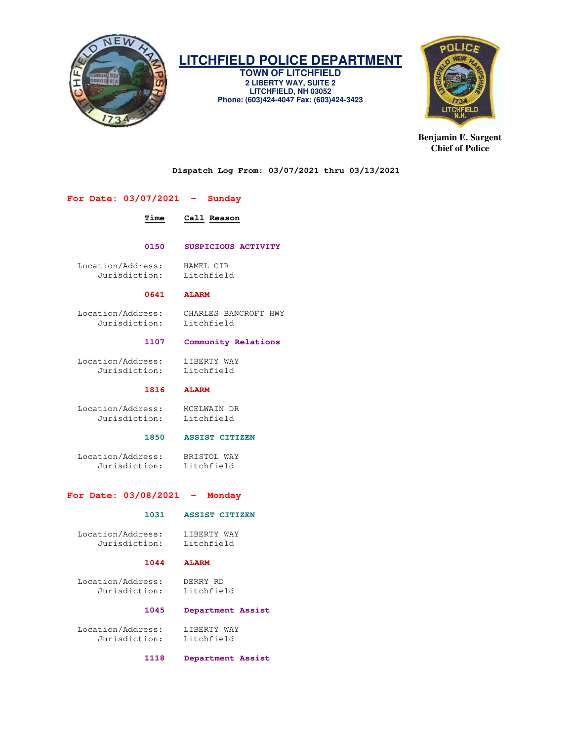

**TOWN OF LITCHFIELD 2 LIBERTY WAY, SUITE 2 LITCHFIELD, NH 03052 Phone: (603)424-4047 Fax: (603)424-3423** 



**Benjamin E. Sargent Chief of Police** 

**Dispatch Log From: 03/07/2021 thru 03/13/2021** 

## **For Date: 03/07/2021 - Sunday**

## **Time Call Reason**

## **0150 SUSPICIOUS ACTIVITY**

 Location/Address: HAMEL CIR Jurisdiction:

## **0641 ALARM**

 Location/Address: CHARLES BANCROFT HWY Jurisdiction:

## **1107 Community Relations**

Location/Address: LIBERTY WAY<br>Jurisdiction: Litchfield Jurisdiction:

## **1816 ALARM**

Location/Address: MCELWAIN DR<br>Jurisdiction: Litchfield Jurisdiction:

## **1850 ASSIST CITIZEN**

 Location/Address: BRISTOL WAY Jurisdiction: Litchfield

## **For Date: 03/08/2021 - Monday**

## **1031 ASSIST CITIZEN**

 Location/Address: LIBERTY WAY Jurisdiction: Litchfield

## **1044 ALARM**

 Location/Address: DERRY RD Jurisdiction:

## **1045 Department Assist**

Location/Address: LIBERTY WAY<br>Jurisdiction: Litchfield Jurisdiction:

 **1118 Department Assist**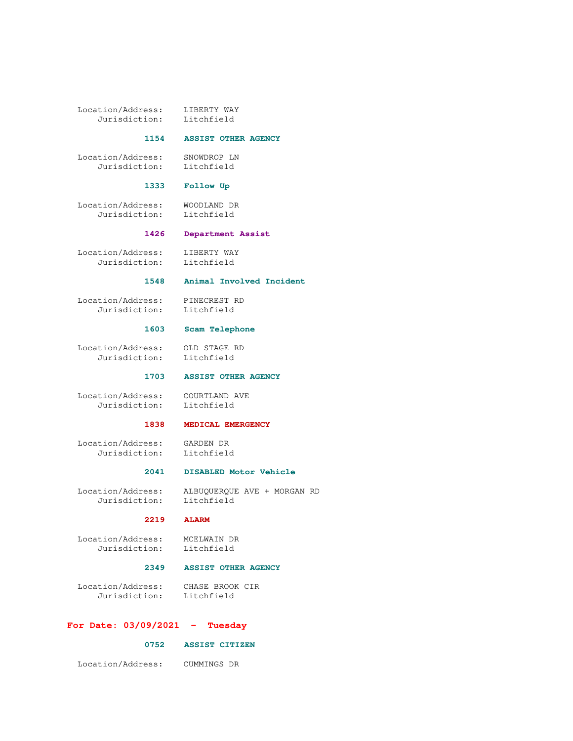Location/Address: LIBERTY WAY<br>Jurisdiction: Litchfield Jurisdiction:

## **1154 ASSIST OTHER AGENCY**

 Location/Address: SNOWDROP LN Jurisdiction: Litchfield

## **1333 Follow Up**

 Location/Address: WOODLAND DR Jurisdiction: Litchfield

 **1426 Department Assist** 

Location/Address: LIBERTY WAY<br>Jurisdiction: Litchfield Jurisdiction:

## **1548 Animal Involved Incident**

Location/Address: PINECREST RD<br>Jurisdiction: Litchfield Jurisdiction:

## **1603 Scam Telephone**

 Location/Address: OLD STAGE RD Jurisdiction: Litchfield

## **1703 ASSIST OTHER AGENCY**

 Location/Address: COURTLAND AVE Jurisdiction: Litchfield

## **1838 MEDICAL EMERGENCY**

 Location/Address: GARDEN DR Jurisdiction: Litchfield

#### **2041 DISABLED Motor Vehicle**

 Location/Address: ALBUQUERQUE AVE + MORGAN RD Jurisdiction:

## **2219 ALARM**

 Location/Address: MCELWAIN DR Jurisdiction: Litchfield

## **2349 ASSIST OTHER AGENCY**

 Location/Address: CHASE BROOK CIR Jurisdiction: Litchfield

## **For Date: 03/09/2021 - Tuesday**

## **0752 ASSIST CITIZEN**

Location/Address: CUMMINGS DR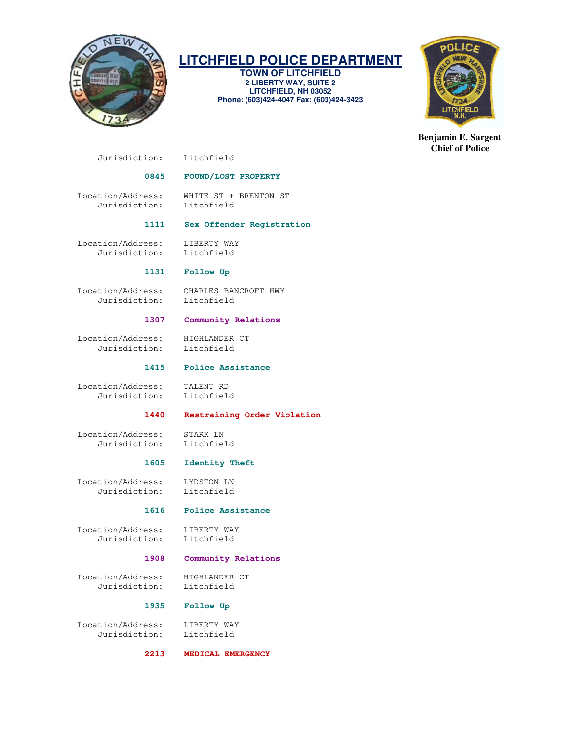

**TOWN OF LITCHFIELD 2 LIBERTY WAY, SUITE 2 LITCHFIELD, NH 03052 Phone: (603)424-4047 Fax: (603)424-3423** 



**Benjamin E. Sargent Chief of Police** 

Jurisdiction: Litchfield

## **0845 FOUND/LOST PROPERTY**

 Location/Address: WHITE ST + BRENTON ST Jurisdiction:

## **1111 Sex Offender Registration**

Location/Address: LIBERTY WAY<br>Jurisdiction: Litchfield Jurisdiction:

## **1131 Follow Up**

Jurisdiction:

Location/Address: CHARLES BANCROFT HWY

## **1307 Community Relations**

 Location/Address: HIGHLANDER CT Jurisdiction: Litchfield

## **1415 Police Assistance**

 Location/Address: TALENT RD Jurisdiction:

## **1440 Restraining Order Violation**

 Location/Address: STARK LN Jurisdiction:

## **1605 Identity Theft**

 Location/Address: LYDSTON LN Jurisdiction: Litchfield

## **1616 Police Assistance**

 Location/Address: LIBERTY WAY Jurisdiction: Litchfield

## **1908 Community Relations**

 Location/Address: HIGHLANDER CT Jurisdiction: Litchfield

## **1935 Follow Up**

 Location/Address: LIBERTY WAY Jurisdiction: Litchfield

 **2213 MEDICAL EMERGENCY**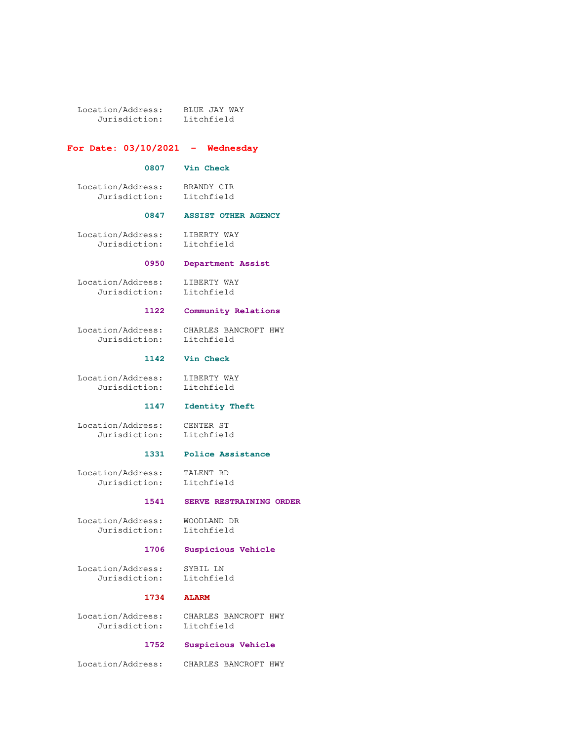Location/Address: BLUE JAY WAY Jurisdiction: Litchfield

## **For Date: 03/10/2021 - Wednesday**

#### **0807 Vin Check**

 Location/Address: BRANDY CIR Jurisdiction: Litchfield

## **0847 ASSIST OTHER AGENCY**

 Location/Address: LIBERTY WAY Jurisdiction: Litchfield

## **0950 Department Assist**

 Location/Address: LIBERTY WAY Jurisdiction: Litchfield

### **1122 Community Relations**

 Location/Address: CHARLES BANCROFT HWY Jurisdiction:

## **1142 Vin Check**

 Location/Address: LIBERTY WAY Jurisdiction: Litchfield

## **1147 Identity Theft**

 Location/Address: CENTER ST Jurisdiction: Litchfield

## **1331 Police Assistance**

 Location/Address: TALENT RD Jurisdiction: Litchfield

## **1541 SERVE RESTRAINING ORDER**

 Location/Address: WOODLAND DR Jurisdiction: Litchfield

## **1706 Suspicious Vehicle**

 Location/Address: SYBIL LN Jurisdiction: Litchfield

## **1734 ALARM**

 Location/Address: CHARLES BANCROFT HWY Jurisdiction: Litchfield

## **1752 Suspicious Vehicle**

Location/Address: CHARLES BANCROFT HWY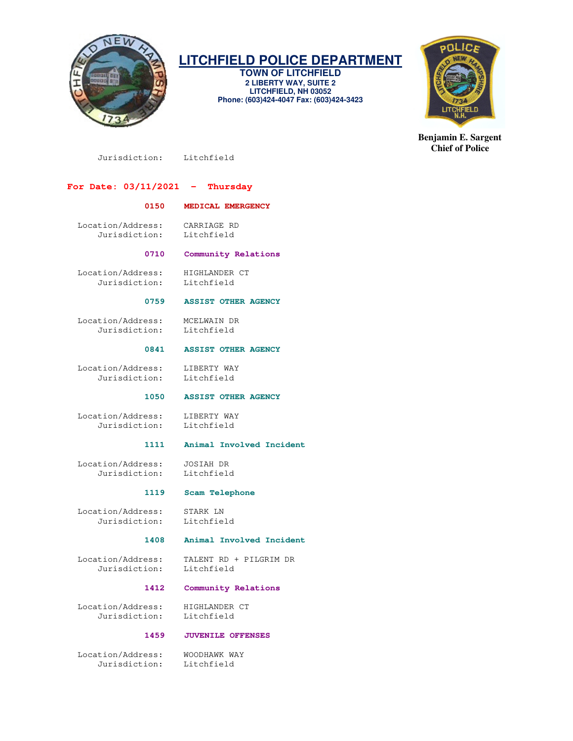

**TOWN OF LITCHFIELD 2 LIBERTY WAY, SUITE 2 LITCHFIELD, NH 03052 Phone: (603)424-4047 Fax: (603)424-3423** 



**Benjamin E. Sargent Chief of Police** 

Jurisdiction: Litchfield

## **For Date: 03/11/2021 - Thursday**

## **0150 MEDICAL EMERGENCY**

 Location/Address: CARRIAGE RD Jurisdiction: Litchfield

## **0710 Community Relations**

Location/Address: HIGHLANDER CT<br>Jurisdiction: Litchfield Jurisdiction:

## **0759 ASSIST OTHER AGENCY**

 Location/Address: MCELWAIN DR Jurisdiction: Litchfield

## **0841 ASSIST OTHER AGENCY**

 Location/Address: LIBERTY WAY Jurisdiction: Litchfield

 **1050 ASSIST OTHER AGENCY** 

Location/Address: LIBERTY WAY<br>Jurisdiction: Litchfield Jurisdiction:

# **1111 Animal Involved Incident**

 Location/Address: JOSIAH DR Jurisdiction:

## **1119 Scam Telephone**

 Location/Address: STARK LN Jurisdiction: Litchfield

## **1408 Animal Involved Incident**

Jurisdiction:

Location/Address: TALENT RD + PILGRIM DR<br>Jurisdiction: Litchfield

## **1412 Community Relations**

Location/Address: HIGHLANDER CT<br>Jurisdiction: Litchfield Jurisdiction:

## **1459 JUVENILE OFFENSES**

 Location/Address: WOODHAWK WAY Jurisdiction: Litchfield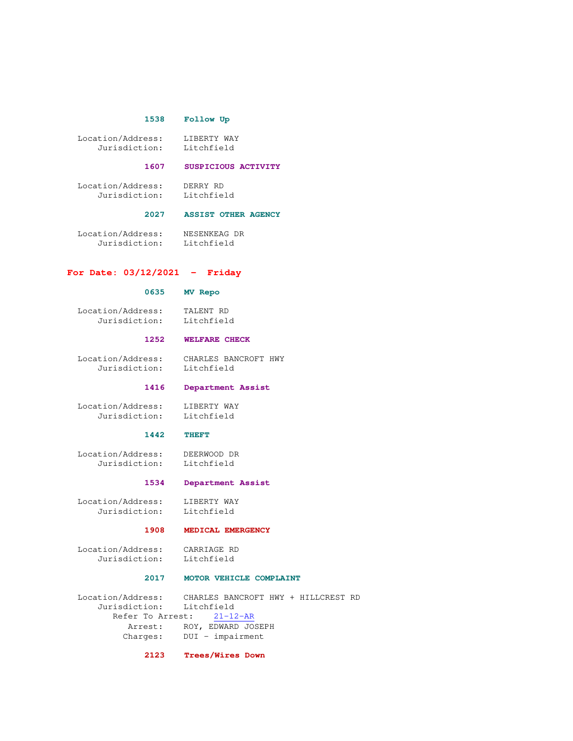## **1538 Follow Up**

| Location/Address: | LIBERTY WAY |
|-------------------|-------------|
| Jurisdiction:     | Litchfield  |

#### **1607 SUSPICIOUS ACTIVITY**

 Location/Address: DERRY RD Jurisdiction: Litchfield

#### **2027 ASSIST OTHER AGENCY**

Location/Address: NESENKEAG DR<br>Jurisdiction: Litchfield Jurisdiction:

## **For Date: 03/12/2021 - Friday**

## **0635 MV Repo**

 Location/Address: TALENT RD Jurisdiction:

## **1252 WELFARE CHECK**

 Location/Address: CHARLES BANCROFT HWY Jurisdiction: Litchfield

#### **1416 Department Assist**

Location/Address: LIBERTY WAY<br>Jurisdiction: Litchfield Jurisdiction:

## **1442 THEFT**

 Location/Address: DEERWOOD DR Jurisdiction:

## **1534 Department Assist**

 Location/Address: LIBERTY WAY Jurisdiction: Litchfield

## **1908 MEDICAL EMERGENCY**

 Location/Address: CARRIAGE RD Jurisdiction:

## **2017 MOTOR VEHICLE COMPLAINT**

 Location/Address: CHARLES BANCROFT HWY + HILLCREST RD Jurisdiction: Refer To Arrest: 21-12-AR Arrest: ROY, EDWARD JOSEPH Charges: DUI - impairment

### **2123 Trees/Wires Down**